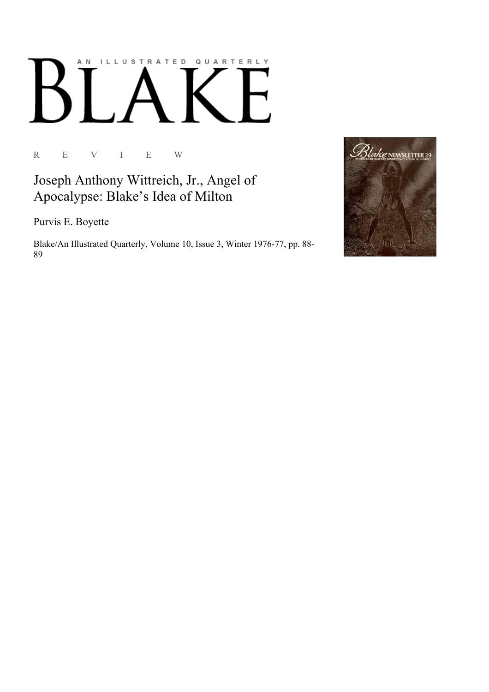## AN ILLUSTRATED QUARTERLY

R E V I E W

Joseph Anthony Wittreich, Jr., Angel of Apocalypse: Blake's Idea of Milton

Purvis E. Boyette

Blake/An Illustrated Quarterly, Volume 10, Issue 3, Winter 1976-77, pp. 88-89

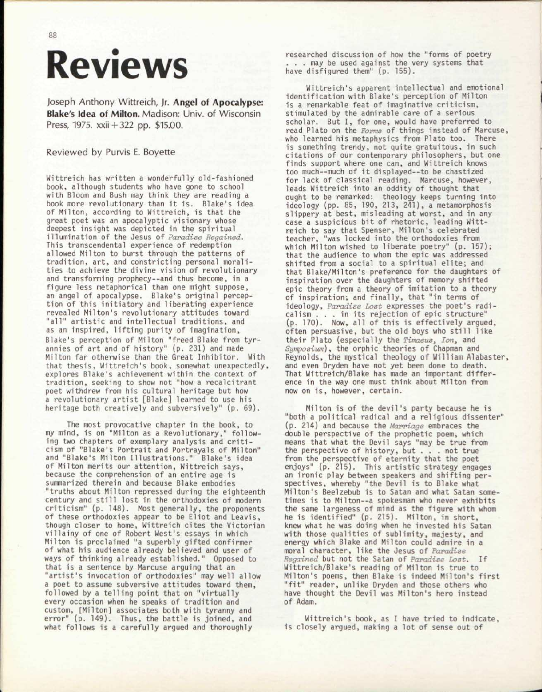## Reviews

Joseph Anthony Wittreich, Jr. Angel of Apocalypse: Blake's Idea of Milton. Madison: Univ. of Wisconsin Press, 1975. xxii + 322 pp. \$15.00.

## Reviewed by Purvis E. Boyette

Wittreich has written a wonderfully old-fashioned book, although students who have gone to school with Bloom and Bush may think they are reading a book more revolutionary than it is. Blake's idea of Milton, according to Wittreich, is that the great poet was an apocalyptic visionary whose deepest insight was depicted in the spiritual illumination of the Jesus of *Paradise Regained.*  This transcendental experience of redemption allowed Milton to burst through the patterns of tradition, art, and constricting personal moralities to achieve the divine vision of revolutionary and transforming prophecy--and thus become, in a figure less metaphorical than one might suppose, an angel of apocalypse. Blake's original perception of this initiatory and liberating experience revealed Milton's revolutionary attitudes toward "all" artistic and intellectual traditions, and as an inspired, lifting purity of imagination, Blake's perception of Milton "freed Blake from tyrannies of art and of history" (p. 231) and made Milton far otherwise than the Great Inhibitor. With that thesis, Wittreich's book, somewhat unexpectedly, explores Blake's achievement within the context of tradition, seeking to show not "how a recalcitrant poet withdrew from his cultural heritage but how a revolutionary artist [Blake] learned to use his heritage both creatively and subversively" (p. 69).

The most provocative chapter in the book, to my mind, is on "Milton as a Revolutionary," following two chapters of exemplary analysis and criticism of "Blake's Portrait and Portrayals of Milton" and "Blake's Milton Illustrations." Blake's idea of Milton merits our attention, Wittreich says, because the comprehension of an entire age is summarized therein and because Blake embodies "truths about Milton repressed during the eighteenth century and still lost in the orthodoxies of modern criticism" (p. 148). Most generally, the proponents of these orthodoxies appear to be Eliot and Leavis, though closer to home, Wittreich cites the Victorian villainy of one of Robert West's essays in which Milton is proclaimed "a superbly gifted confirmer of what his audience already believed and user of ways of thinking already established." Opposed to that is a sentence by Marcuse arguing that an "artist's invocation of orthodoxies" may well allow a poet to assume subversive attitudes toward them, followed by a telling point that on "virtually *every* occasion when he speaks of tradition and custom, [Milton] associates both with tyranny and error" (p. 149). Thus, the battle is joined, and what follows is a carefully argued and thoroughly

researched discussion of how the "forms of poetry . . . may be used against the very systems that have disfigured them" (p. 155).

Wittreich's apparent intellectual and emotional identification with Blake's perception of Milton is a remarkable feat of imaginative criticism, stimulated by the admirable care of a serious scholar. But I, for one, would have preferred to read Plato on the *Forms* of things instead of Marcuse, who learned his metaphysics from Plato too. There is something trendy, not quite gratuitous, in such citations of our contemporary philosophers, but one finds support where one can, and Wittreich knows too much--much of it displayed—to be chastized for lack of classical reading. Marcuse, however, leads Wittreich into an oddity of thought that ought to be remarked: theology keeps turning into ideology (pp. 85, 190, 213, 241), a metamorphosis slippery at best, misleading at worst, and in any case a suspicious bit of rhetoric, leading Wittreich to say that Spenser, Milton's celebrated teacher, "was locked into the orthodoxies from which Milton wished to liberate poetry" (p. 157); that the audience to whom the epic was addressed shifted from a social to a spiritual elite; and that Blake/Milton's preference for the daughters of inspiration over the daughters of memory shifted epic theory from a theory of imitation to a theory of inspiration; and finally, that "in terms of ideology, *Paradise Lost* expresses the poet's radicalism .. . in its rejection of epic structure" (p. 170). Now, all of this is effectively argued, often persuasive, but the old boys who still like their Plato (especially the *Timaeus, Ion,* and *Symposium),* the orphic theories of Chapman and Reynolds, the mystical theology of William Alabaster, and even Dryden have not yet been done to death. That Wittreich/Blake has made an important difference in the way one must think about Milton from now on is, however, certain.

Milton is of the devil's party because he is "both a political radical and a religious dissenter" (p. 214) and because the *Marriage* embraces the double perspective of the prophetic poem, which means that what the Devil says "may be true from the perspective of history, but . . . not true from the perspective of eternity that the poet enjoys" (p. 215). This artistic strategy engages an ironic play between speakers and shifting perspectives, whereby "the Devil is to Blake what Milton's Beelzebub is to Satan and what Satan sometimes is to Milton--a spokesman who never exhibits the same largeness of mind as the figure with whom he is identified" (p. 215). Milton, in short, knew what he was doing when he invested his Satan with those qualities of sublimity, majesty, and energy which Blake and Milton could admire in a moral character, like the Jesus of *Paradise Regained* but not the Satan of *Paradise Lost.* If Wittreich/Blake's reading of Milton is true to Milton's poems, then Blake is indeed Milton's first "fit" reader, unlike Dryden and those others who have thought the Devil was Milton's hero instead of Adam.

Wittreich's book, as I have tried to indicate, is closely argued, making a lot of sense out of